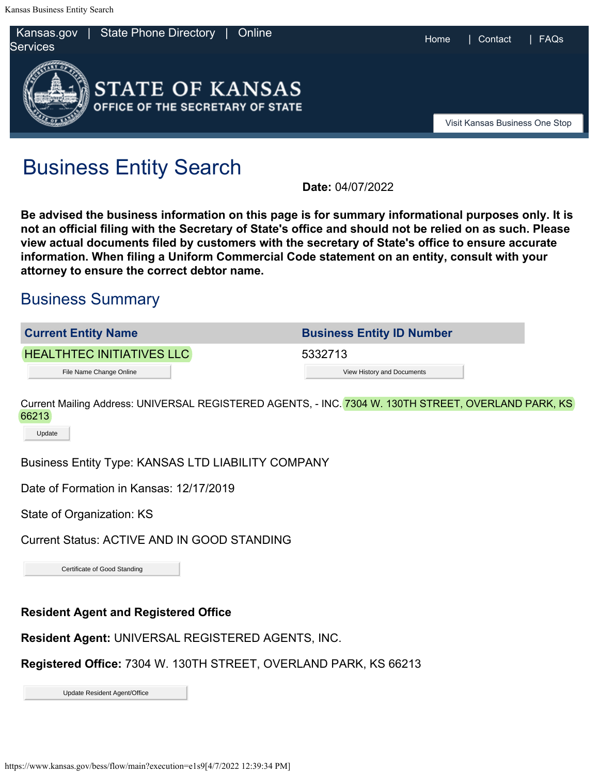

## Business Entity Search

**Date:** 04/07/2022

**Be advised the business information on this page is for summary informational purposes only. It is not an official filing with the Secretary of State's office and should not be relied on as such. Please view actual documents filed by customers with the secretary of State's office to ensure accurate information. When filing a Uniform Commercial Code statement on an entity, consult with your attorney to ensure the correct debtor name.**

## Business Summary

| <b>Current Entity Name</b>       | <b>Business Entity ID Number</b> |
|----------------------------------|----------------------------------|
| <b>HEALTHTEC INITIATIVES LLC</b> | 5332713                          |
| File Name Change Online          | View History and Documents       |

Current Mailing Address: UNIVERSAL REGISTERED AGENTS, - INC. 7304 W. 130TH STREET, OVERLAND PARK, KS 66213 File Name Change Online<br>Aailing Address: UNIVERSAL REGISTERED AGENTS, - INC. <mark>7304 W. 130TH S</mark><br>S. Entity Type: KANSAS LTD LIABILITY COMPANY<br>Formation in Kansas: 12/17/2019<br>Organization: KS<br>Status: ACTIVE AND IN GOOD STANDI

Update

Business Entity Type: KANSAS LTD LIABILITY COMPANY

Date of Formation in Kansas: 12/17/2019

State of Organization: KS

Current Status: ACTIVE AND IN GOOD STANDING

**Resident Agent and Registered Office**

**Resident Agent:** UNIVERSAL REGISTERED AGENTS, INC.

**Registered Office:** 7304 W. 130TH STREET, OVERLAND PARK, KS 66213

Update Resident Agent/Office